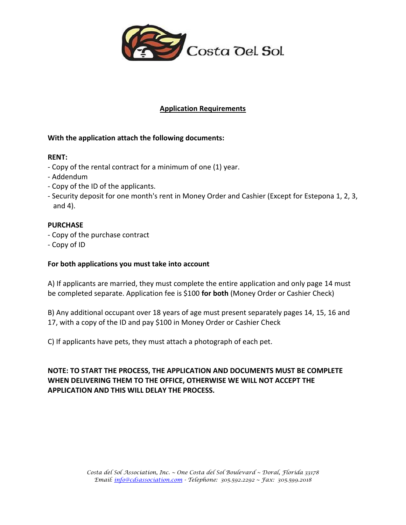

### **Application Requirements**

### **With the application attach the following documents:**

### **RENT:**

- Copy of the rental contract for a minimum of one (1) year.
- Addendum
- Copy of the ID of the applicants.
- Security deposit for one month's rent in Money Order and Cashier (Except for Estepona 1, 2, 3, and 4).

### **PURCHASE**

- Copy of the purchase contract
- Copy of ID

### **For both applications you must take into account**

A) If applicants are married, they must complete the entire application and only page 14 must be completed separate. Application fee is \$100 **for both** (Money Order or Cashier Check)

B) Any additional occupant over 18 years of age must present separately pages 14, 15, 16 and 17, with a copy of the ID and pay \$100 in Money Order or Cashier Check

C) If applicants have pets, they must attach a photograph of each pet.

**NOTE: TO START THE PROCESS, THE APPLICATION AND DOCUMENTS MUST BE COMPLETE WHEN DELIVERING THEM TO THE OFFICE, OTHERWISE WE WILL NOT ACCEPT THE APPLICATION AND THIS WILL DELAY THE PROCESS.**